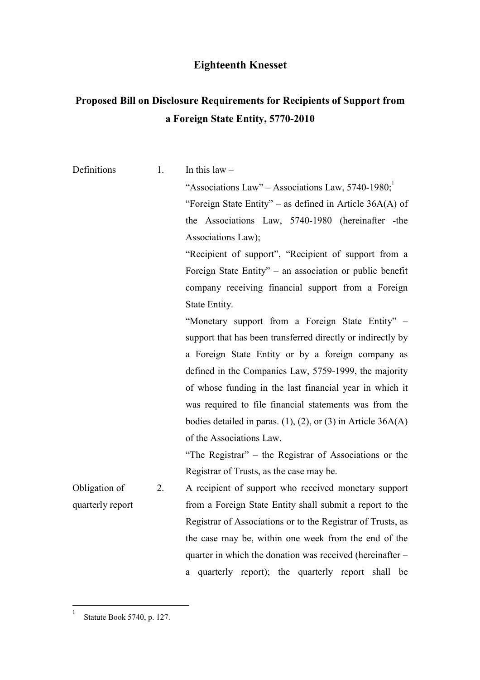## Eighteenth Knesset

## Proposed Bill on Disclosure Requirements for Recipients of Support from a Foreign State Entity, 5770-2010

| Definitions      | 1.                                                          | In this $law -$                                                      |  |  |  |  |  |  |  |
|------------------|-------------------------------------------------------------|----------------------------------------------------------------------|--|--|--|--|--|--|--|
|                  |                                                             | "Associations Law" – Associations Law, $5740-1980$ ;                 |  |  |  |  |  |  |  |
|                  |                                                             | "Foreign State Entity" – as defined in Article $36A(A)$ of           |  |  |  |  |  |  |  |
|                  |                                                             | the Associations Law, 5740-1980 (hereinafter -the                    |  |  |  |  |  |  |  |
|                  |                                                             | Associations Law);                                                   |  |  |  |  |  |  |  |
|                  |                                                             | "Recipient of support", "Recipient of support from a                 |  |  |  |  |  |  |  |
|                  |                                                             | Foreign State Entity" – an association or public benefit             |  |  |  |  |  |  |  |
|                  |                                                             | company receiving financial support from a Foreign                   |  |  |  |  |  |  |  |
|                  |                                                             | State Entity.                                                        |  |  |  |  |  |  |  |
|                  | "Monetary support from a Foreign State Entity" –            |                                                                      |  |  |  |  |  |  |  |
|                  | support that has been transferred directly or indirectly by |                                                                      |  |  |  |  |  |  |  |
|                  |                                                             | a Foreign State Entity or by a foreign company as                    |  |  |  |  |  |  |  |
|                  |                                                             | defined in the Companies Law, 5759-1999, the majority                |  |  |  |  |  |  |  |
|                  |                                                             | of whose funding in the last financial year in which it              |  |  |  |  |  |  |  |
|                  |                                                             | was required to file financial statements was from the               |  |  |  |  |  |  |  |
|                  |                                                             | bodies detailed in paras. $(1)$ , $(2)$ , or $(3)$ in Article 36A(A) |  |  |  |  |  |  |  |
|                  |                                                             | of the Associations Law.                                             |  |  |  |  |  |  |  |
|                  |                                                             | "The Registrar" – the Registrar of Associations or the               |  |  |  |  |  |  |  |
|                  |                                                             | Registrar of Trusts, as the case may be.                             |  |  |  |  |  |  |  |
| Obligation of    | 2.                                                          | A recipient of support who received monetary support                 |  |  |  |  |  |  |  |
| quarterly report |                                                             | from a Foreign State Entity shall submit a report to the             |  |  |  |  |  |  |  |
|                  |                                                             | Registrar of Associations or to the Registrar of Trusts, as          |  |  |  |  |  |  |  |
|                  |                                                             | the case may be, within one week from the end of the                 |  |  |  |  |  |  |  |
|                  | quarter in which the donation was received (hereinafter –   |                                                                      |  |  |  |  |  |  |  |
|                  |                                                             | a quarterly report); the quarterly report shall be                   |  |  |  |  |  |  |  |

<sup>|&</sup>lt;br>|<br>| Statute Book 5740, p. 127.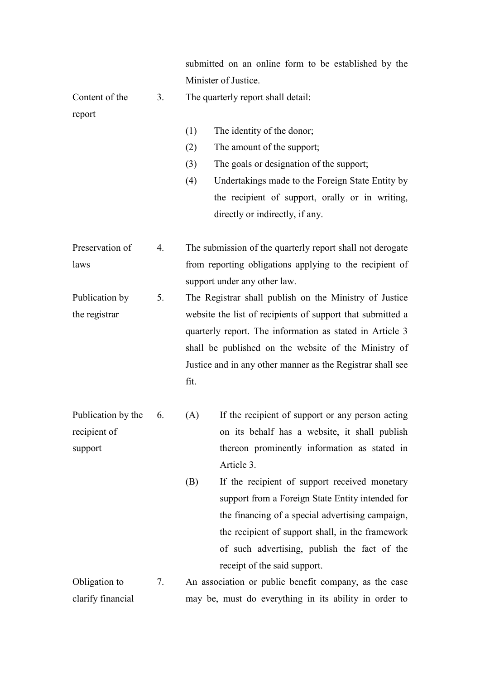|                                               |    | submitted on an online form to be established by the                                                                                                                                                                                                                                                                                                                                                                                                                    |  |  |  |  |  |
|-----------------------------------------------|----|-------------------------------------------------------------------------------------------------------------------------------------------------------------------------------------------------------------------------------------------------------------------------------------------------------------------------------------------------------------------------------------------------------------------------------------------------------------------------|--|--|--|--|--|
|                                               |    | Minister of Justice.                                                                                                                                                                                                                                                                                                                                                                                                                                                    |  |  |  |  |  |
| Content of the                                | 3. | The quarterly report shall detail:                                                                                                                                                                                                                                                                                                                                                                                                                                      |  |  |  |  |  |
| report                                        |    | The identity of the donor;<br>(1)<br>The amount of the support;<br>(2)<br>The goals or designation of the support;<br>(3)<br>(4)<br>Undertakings made to the Foreign State Entity by<br>the recipient of support, orally or in writing,<br>directly or indirectly, if any.                                                                                                                                                                                              |  |  |  |  |  |
| Preservation of<br>laws                       | 4. | The submission of the quarterly report shall not derogate<br>from reporting obligations applying to the recipient of<br>support under any other law.                                                                                                                                                                                                                                                                                                                    |  |  |  |  |  |
| Publication by<br>the registrar               | 5. | The Registrar shall publish on the Ministry of Justice<br>website the list of recipients of support that submitted a<br>quarterly report. The information as stated in Article 3<br>shall be published on the website of the Ministry of<br>Justice and in any other manner as the Registrar shall see<br>fit.                                                                                                                                                          |  |  |  |  |  |
| Publication by the<br>recipient of<br>support | 6. | (A) If the recipient of support or any person acting<br>on its behalf has a website, it shall publish<br>thereon prominently information as stated in<br>Article 3.<br>If the recipient of support received monetary<br>(B)<br>support from a Foreign State Entity intended for<br>the financing of a special advertising campaign,<br>the recipient of support shall, in the framework<br>of such advertising, publish the fact of the<br>receipt of the said support. |  |  |  |  |  |
| Obligation to<br>clarify financial            | 7. | An association or public benefit company, as the case<br>may be, must do everything in its ability in order to                                                                                                                                                                                                                                                                                                                                                          |  |  |  |  |  |